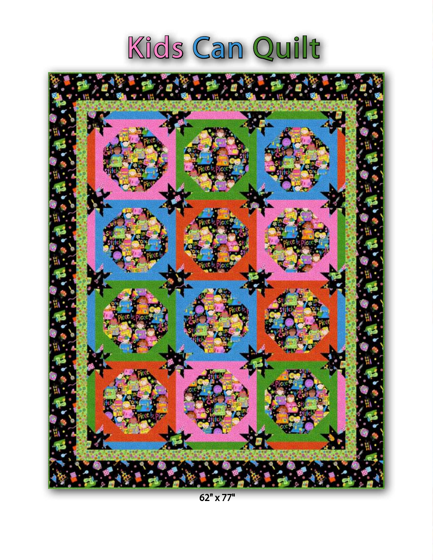# Kids Can Quilt

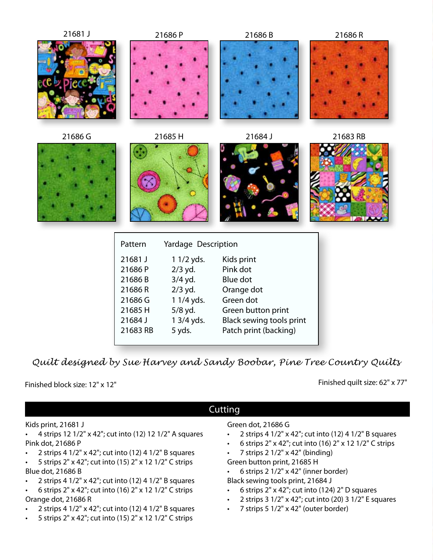| 21681 J | 21686P                                                                            |                                                                                                  | 21686B                                                                                                                                   | 21686R   |
|---------|-----------------------------------------------------------------------------------|--------------------------------------------------------------------------------------------------|------------------------------------------------------------------------------------------------------------------------------------------|----------|
|         |                                                                                   |                                                                                                  |                                                                                                                                          |          |
| 21686 G | 21685H                                                                            |                                                                                                  | 21684 J                                                                                                                                  | 21683 RB |
|         |                                                                                   |                                                                                                  |                                                                                                                                          |          |
|         | Pattern                                                                           | Yardage Description                                                                              |                                                                                                                                          |          |
|         | 21681 J<br>21686P<br>21686B<br>21686R<br>21686 G<br>21685H<br>21684 J<br>21683 RB | 1 1/2 yds.<br>$2/3$ yd.<br>3/4 yd.<br>$2/3$ yd.<br>1 1/4 yds.<br>5/8 yd.<br>1 3/4 yds.<br>5 yds. | Kids print<br>Pink dot<br>Blue dot<br>Orange dot<br>Green dot<br>Green button print<br>Black sewing tools print<br>Patch print (backing) |          |

*Quilt designed by Sue Harvey and Sandy Boobar, Pine Tree Country Quilts*

Finished block size: 12" x 12" And the state of the state of the state of the state of the Finished quilt size: 62" x 77"

## **Cutting**

#### Kids print, 21681 J

4 strips 12 1/2" x 42"; cut into (12) 12 1/2" A squares Pink dot, 21686 P

- 2 strips 4 1/2" x 42"; cut into (12) 4 1/2" B squares
- 5 strips 2" x 42"; cut into (15) 2" x 12 1/2" C strips Blue dot, 21686 B
- 2 strips 4 1/2" x 42"; cut into (12) 4 1/2" B squares
- • 6 strips 2" x 42"; cut into (16) 2" x 12 1/2" C strips Orange dot, 21686 R
- 2 strips 4 1/2" x 42"; cut into (12) 4 1/2" B squares
- 5 strips 2" x 42"; cut into (15) 2" x 12 1/2" C strips

#### Green dot, 21686 G

- 2 strips 4 1/2" x 42"; cut into  $(12)$  4 1/2" B squares
- • 6 strips 2" x 42"; cut into (16) 2" x 12 1/2" C strips
- $\overline{7}$  strips 2 1/2" x 42" (binding)
- Green button print, 21685 H  $\cdot$  6 strips 2 1/2" x 42" (inner border)
- Black sewing tools print, 21684 J
- • 6 strips 2" x 42"; cut into (124) 2" D squares
- 2 strips 3 1/2" x 42"; cut into (20) 3 1/2" E squares
- • 7 strips 5 1/2" x 42" (outer border)